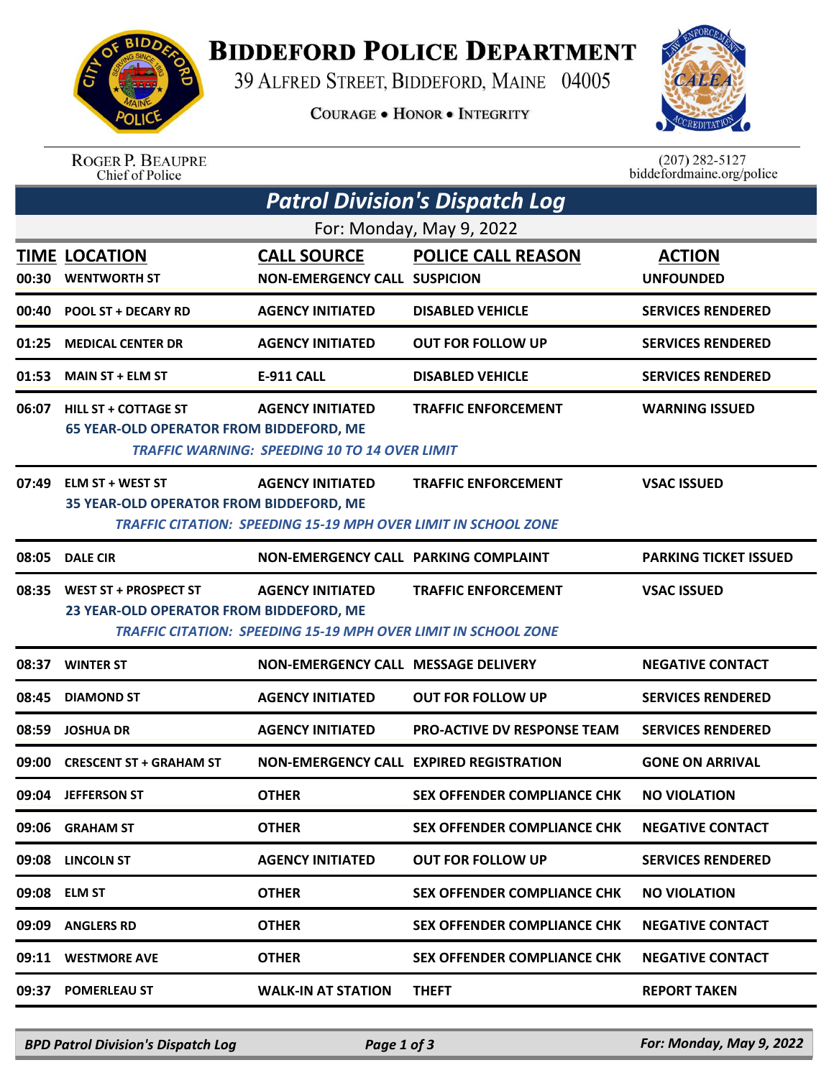

## **BIDDEFORD POLICE DEPARTMENT**

39 ALFRED STREET, BIDDEFORD, MAINE 04005

**COURAGE . HONOR . INTEGRITY** 



ROGER P. BEAUPRE<br>Chief of Police

 $(207)$  282-5127<br>biddefordmaine.org/police

| Patrol Division's Dispatch Log<br>For: Monday, May 9, 2022 |                                                                               |                                                                                                  |                                         |                              |  |  |  |  |
|------------------------------------------------------------|-------------------------------------------------------------------------------|--------------------------------------------------------------------------------------------------|-----------------------------------------|------------------------------|--|--|--|--|
|                                                            |                                                                               |                                                                                                  |                                         |                              |  |  |  |  |
| 00:40                                                      | <b>POOL ST + DECARY RD</b>                                                    | <b>AGENCY INITIATED</b>                                                                          | <b>DISABLED VEHICLE</b>                 | <b>SERVICES RENDERED</b>     |  |  |  |  |
| 01:25                                                      | <b>MEDICAL CENTER DR</b>                                                      | <b>AGENCY INITIATED</b>                                                                          | <b>OUT FOR FOLLOW UP</b>                | <b>SERVICES RENDERED</b>     |  |  |  |  |
| 01:53                                                      | <b>MAIN ST + ELM ST</b>                                                       | <b>E-911 CALL</b>                                                                                | <b>DISABLED VEHICLE</b>                 | <b>SERVICES RENDERED</b>     |  |  |  |  |
| 06:07                                                      | <b>HILL ST + COTTAGE ST</b><br><b>65 YEAR-OLD OPERATOR FROM BIDDEFORD, ME</b> | <b>AGENCY INITIATED</b><br><b>TRAFFIC WARNING: SPEEDING 10 TO 14 OVER LIMIT</b>                  | <b>TRAFFIC ENFORCEMENT</b>              | <b>WARNING ISSUED</b>        |  |  |  |  |
| 07:49                                                      | <b>ELM ST + WEST ST</b><br>35 YEAR-OLD OPERATOR FROM BIDDEFORD, ME            | <b>AGENCY INITIATED</b><br><b>TRAFFIC CITATION: SPEEDING 15-19 MPH OVER LIMIT IN SCHOOL ZONE</b> | <b>TRAFFIC ENFORCEMENT</b>              | <b>VSAC ISSUED</b>           |  |  |  |  |
| 08:05                                                      | <b>DALE CIR</b>                                                               | NON-EMERGENCY CALL PARKING COMPLAINT                                                             |                                         | <b>PARKING TICKET ISSUED</b> |  |  |  |  |
| 08:35                                                      | WEST ST + PROSPECT ST<br>23 YEAR-OLD OPERATOR FROM BIDDEFORD, ME              | <b>AGENCY INITIATED</b><br><b>TRAFFIC CITATION: SPEEDING 15-19 MPH OVER LIMIT IN SCHOOL ZONE</b> | <b>TRAFFIC ENFORCEMENT</b>              | <b>VSAC ISSUED</b>           |  |  |  |  |
| 08:37                                                      | <b>WINTER ST</b>                                                              | NON-EMERGENCY CALL MESSAGE DELIVERY                                                              |                                         | <b>NEGATIVE CONTACT</b>      |  |  |  |  |
| 08:45                                                      | <b>DIAMOND ST</b>                                                             | <b>AGENCY INITIATED</b>                                                                          | <b>OUT FOR FOLLOW UP</b>                | <b>SERVICES RENDERED</b>     |  |  |  |  |
| 08:59                                                      | <b>JOSHUA DR</b>                                                              | <b>AGENCY INITIATED</b>                                                                          | <b>PRO-ACTIVE DV RESPONSE TEAM</b>      | <b>SERVICES RENDERED</b>     |  |  |  |  |
| 09:00                                                      | <b>CRESCENT ST + GRAHAM ST</b>                                                |                                                                                                  | NON-EMERGENCY CALL EXPIRED REGISTRATION | <b>GONE ON ARRIVAL</b>       |  |  |  |  |
|                                                            | 09:04 JEFFERSON ST                                                            | <b>OTHER</b>                                                                                     | <b>SEX OFFENDER COMPLIANCE CHK</b>      | <b>NO VIOLATION</b>          |  |  |  |  |
|                                                            | 09:06 GRAHAM ST                                                               | <b>OTHER</b>                                                                                     | <b>SEX OFFENDER COMPLIANCE CHK</b>      | <b>NEGATIVE CONTACT</b>      |  |  |  |  |
|                                                            | 09:08 LINCOLN ST                                                              | <b>AGENCY INITIATED</b>                                                                          | <b>OUT FOR FOLLOW UP</b>                | <b>SERVICES RENDERED</b>     |  |  |  |  |
| 09:08                                                      | <b>ELM ST</b>                                                                 | <b>OTHER</b>                                                                                     | <b>SEX OFFENDER COMPLIANCE CHK</b>      | <b>NO VIOLATION</b>          |  |  |  |  |
| 09:09                                                      | <b>ANGLERS RD</b>                                                             | <b>OTHER</b>                                                                                     | <b>SEX OFFENDER COMPLIANCE CHK</b>      | <b>NEGATIVE CONTACT</b>      |  |  |  |  |
| 09:11                                                      | <b>WESTMORE AVE</b>                                                           | <b>OTHER</b>                                                                                     | <b>SEX OFFENDER COMPLIANCE CHK</b>      | <b>NEGATIVE CONTACT</b>      |  |  |  |  |
| 09:37                                                      | <b>POMERLEAU ST</b>                                                           | <b>WALK-IN AT STATION</b>                                                                        | <b>THEFT</b>                            | <b>REPORT TAKEN</b>          |  |  |  |  |

*BPD Patrol Division's Dispatch Log Page 1 of 3 For: Monday, May 9, 2022*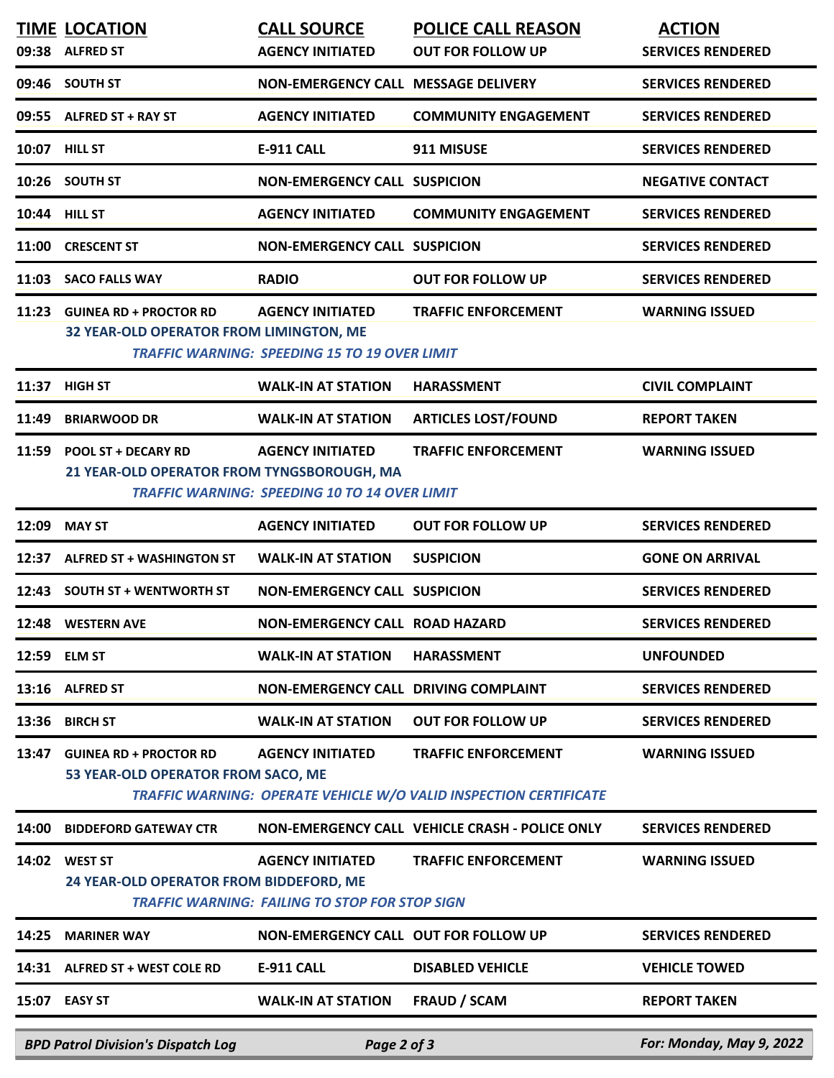|       | <b>BPD Patrol Division's Dispatch Log</b>                                | Page 2 of 3                                                                      |                                                                                                        | For: Monday, May 9, 2022                             |
|-------|--------------------------------------------------------------------------|----------------------------------------------------------------------------------|--------------------------------------------------------------------------------------------------------|------------------------------------------------------|
| 15:07 | <b>EASY ST</b>                                                           | <b>WALK-IN AT STATION</b>                                                        | <b>FRAUD / SCAM</b>                                                                                    | <b>REPORT TAKEN</b>                                  |
| 14:31 | ALFRED ST + WEST COLE RD                                                 | <b>E-911 CALL</b>                                                                | <b>DISABLED VEHICLE</b>                                                                                | <b>VEHICLE TOWED</b>                                 |
| 14:25 | <b>MARINER WAY</b>                                                       | NON-EMERGENCY CALL OUT FOR FOLLOW UP                                             |                                                                                                        | <b>SERVICES RENDERED</b>                             |
| 14:02 | <b>WEST ST</b><br>24 YEAR-OLD OPERATOR FROM BIDDEFORD, ME                | <b>AGENCY INITIATED</b><br><b>TRAFFIC WARNING: FAILING TO STOP FOR STOP SIGN</b> | <b>TRAFFIC ENFORCEMENT</b>                                                                             | <b>WARNING ISSUED</b>                                |
| 14:00 | <b>BIDDEFORD GATEWAY CTR</b>                                             |                                                                                  | NON-EMERGENCY CALL VEHICLE CRASH - POLICE ONLY                                                         | <b>SERVICES RENDERED</b>                             |
| 13:47 | <b>GUINEA RD + PROCTOR RD</b><br>53 YEAR-OLD OPERATOR FROM SACO, ME      | <b>AGENCY INITIATED</b>                                                          | <b>TRAFFIC ENFORCEMENT</b><br><b>TRAFFIC WARNING: OPERATE VEHICLE W/O VALID INSPECTION CERTIFICATE</b> | <b>WARNING ISSUED</b>                                |
| 13:36 |                                                                          |                                                                                  |                                                                                                        |                                                      |
| 13:16 | <b>ALFRED ST</b><br><b>BIRCH ST</b>                                      | NON-EMERGENCY CALL DRIVING COMPLAINT<br><b>WALK-IN AT STATION</b>                | <b>OUT FOR FOLLOW UP</b>                                                                               | <b>SERVICES RENDERED</b><br><b>SERVICES RENDERED</b> |
| 12:59 | <b>ELM ST</b>                                                            | <b>WALK-IN AT STATION</b>                                                        | <b>HARASSMENT</b>                                                                                      | <b>UNFOUNDED</b>                                     |
|       | 12:48 WESTERN AVE                                                        | <b>NON-EMERGENCY CALL ROAD HAZARD</b>                                            |                                                                                                        | <b>SERVICES RENDERED</b>                             |
| 12:43 | <b>SOUTH ST + WENTWORTH ST</b>                                           | <b>NON-EMERGENCY CALL SUSPICION</b>                                              |                                                                                                        | <b>SERVICES RENDERED</b>                             |
| 12:37 | <b>ALFRED ST + WASHINGTON ST</b>                                         | <b>WALK-IN AT STATION</b>                                                        | <b>SUSPICION</b>                                                                                       | <b>GONE ON ARRIVAL</b>                               |
| 12:09 | <b>MAY ST</b>                                                            | <b>AGENCY INITIATED</b>                                                          | <b>OUT FOR FOLLOW UP</b>                                                                               | <b>SERVICES RENDERED</b>                             |
|       | 21 YEAR-OLD OPERATOR FROM TYNGSBOROUGH, MA                               | <b>TRAFFIC WARNING: SPEEDING 10 TO 14 OVER LIMIT</b>                             |                                                                                                        |                                                      |
| 11:59 | <b>POOL ST + DECARY RD</b>                                               | <b>AGENCY INITIATED</b>                                                          | <b>TRAFFIC ENFORCEMENT</b>                                                                             | <b>WARNING ISSUED</b>                                |
| 11:49 | <b>BRIARWOOD DR</b>                                                      | <b>WALK-IN AT STATION</b>                                                        | <b>ARTICLES LOST/FOUND</b>                                                                             | <b>REPORT TAKEN</b>                                  |
| 11:37 | <b>HIGH ST</b>                                                           | <b>WALK-IN AT STATION</b>                                                        | <b>HARASSMENT</b>                                                                                      | <b>CIVIL COMPLAINT</b>                               |
| 11:23 | <b>GUINEA RD + PROCTOR RD</b><br>32 YEAR-OLD OPERATOR FROM LIMINGTON, ME | <b>AGENCY INITIATED</b><br><b>TRAFFIC WARNING: SPEEDING 15 TO 19 OVER LIMIT</b>  | <b>TRAFFIC ENFORCEMENT</b>                                                                             | <b>WARNING ISSUED</b>                                |
| 11:03 | <b>SACO FALLS WAY</b>                                                    | <b>RADIO</b>                                                                     | <b>OUT FOR FOLLOW UP</b>                                                                               | <b>SERVICES RENDERED</b>                             |
| 11:00 | <b>CRESCENT ST</b>                                                       | <b>NON-EMERGENCY CALL SUSPICION</b>                                              |                                                                                                        | <b>SERVICES RENDERED</b>                             |
|       | 10:44 HILL ST                                                            | <b>AGENCY INITIATED</b>                                                          | <b>COMMUNITY ENGAGEMENT</b>                                                                            | <b>SERVICES RENDERED</b>                             |
|       | 10:26 SOUTH ST                                                           | <b>NON-EMERGENCY CALL SUSPICION</b>                                              |                                                                                                        | <b>NEGATIVE CONTACT</b>                              |
|       | 10:07 HILL ST                                                            | <b>E-911 CALL</b>                                                                | 911 MISUSE                                                                                             | <b>SERVICES RENDERED</b>                             |
|       | 09:55 ALFRED ST + RAY ST                                                 | <b>AGENCY INITIATED</b>                                                          | <b>COMMUNITY ENGAGEMENT</b>                                                                            | <b>SERVICES RENDERED</b>                             |
|       | 09:46 SOUTH ST                                                           | NON-EMERGENCY CALL MESSAGE DELIVERY                                              |                                                                                                        | <b>SERVICES RENDERED</b>                             |
|       | <b>TIME LOCATION</b><br>09:38 ALFRED ST                                  | <b>CALL SOURCE</b><br><b>AGENCY INITIATED</b>                                    | <b>POLICE CALL REASON</b><br><b>OUT FOR FOLLOW UP</b>                                                  | <b>ACTION</b><br><b>SERVICES RENDERED</b>            |
|       |                                                                          |                                                                                  |                                                                                                        |                                                      |